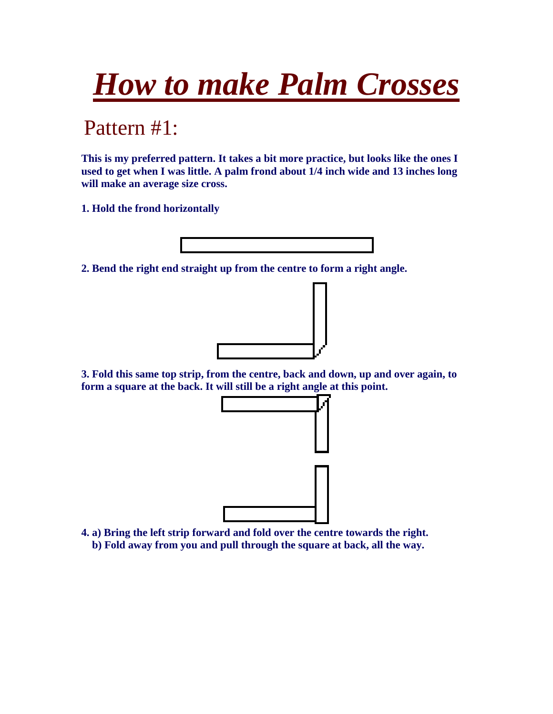## *How to make Palm Crosses*

Pattern #1:

**This is my preferred pattern. It takes a bit more practice, but looks like the ones I used to get when I was little. A palm frond about 1/4 inch wide and 13 inches long will make an average size cross.** 

**1. Hold the frond horizontally** 



**2. Bend the right end straight up from the centre to form a right angle.** 



**3. Fold this same top strip, from the centre, back and down, up and over again, to form a square at the back. It will still be a right angle at this point.** 



**4. a) Bring the left strip forward and fold over the centre towards the right. b) Fold away from you and pull through the square at back, all the way.**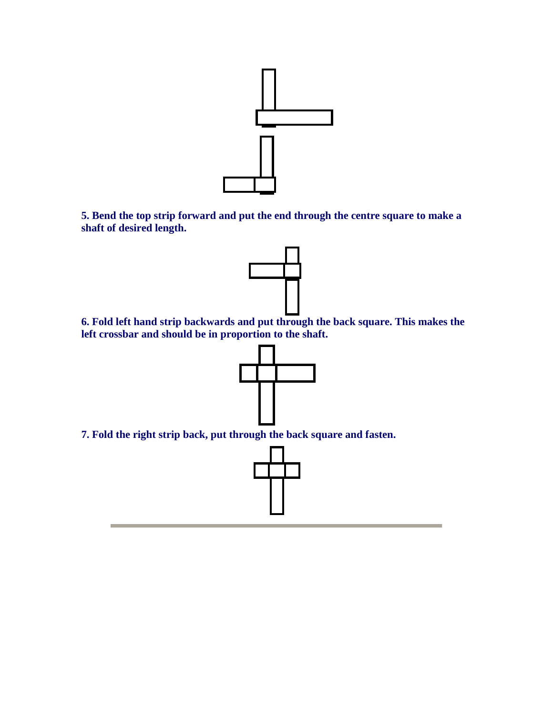

**5. Bend the top strip forward and put the end through the centre square to make a shaft of desired length.** 



**6. Fold left hand strip backwards and put through the back square. This makes the left crossbar and should be in proportion to the shaft.** 



**7. Fold the right strip back, put through the back square and fasten.**